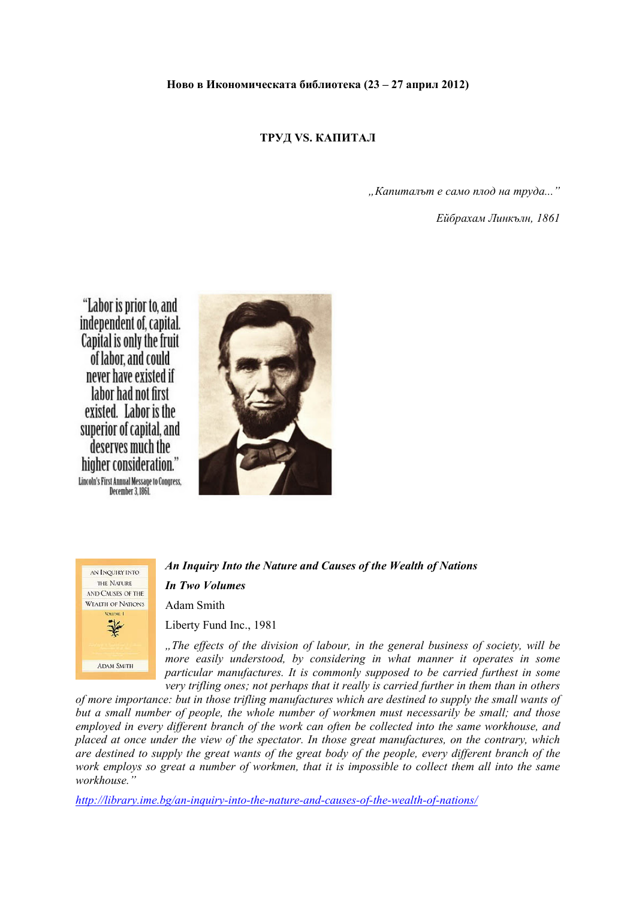### **Ново в Икономическата библиотека (23 – 27 април 2012)**

## **ТРУД VS. КАПИТАЛ**

*"Капиталът е само плод на труда..."* 

*Ейбрахам Линкълн, 1861* 

"Labor is prior to, and independent of, capital. Capital is only the fruit of labor, and could never have existed if labor had not first existed. Labor is the superior of capital, and deserves much the higher consideration." Lincoln's First Annual Message to Congress. December 3, 1861.





# *An Inquiry Into the Nature and Causes of the Wealth of Nations*

## *In Two Volumes*

Adam Smith

Liberty Fund Inc., 1981

*"The effects of the division of labour, in the general business of society, will be more easily understood, by considering in what manner it operates in some particular manufactures. It is commonly supposed to be carried furthest in some very trifling ones; not perhaps that it really is carried further in them than in others* 

*of more importance: but in those trifling manufactures which are destined to supply the small wants of but a small number of people, the whole number of workmen must necessarily be small; and those employed in every different branch of the work can often be collected into the same workhouse, and placed at once under the view of the spectator. In those great manufactures, on the contrary, which are destined to supply the great wants of the great body of the people, every different branch of the work employs so great a number of workmen, that it is impossible to collect them all into the same workhouse."* 

*http://library.ime.bg/an-inquiry-into-the-nature-and-causes-of-the-wealth-of-nations/*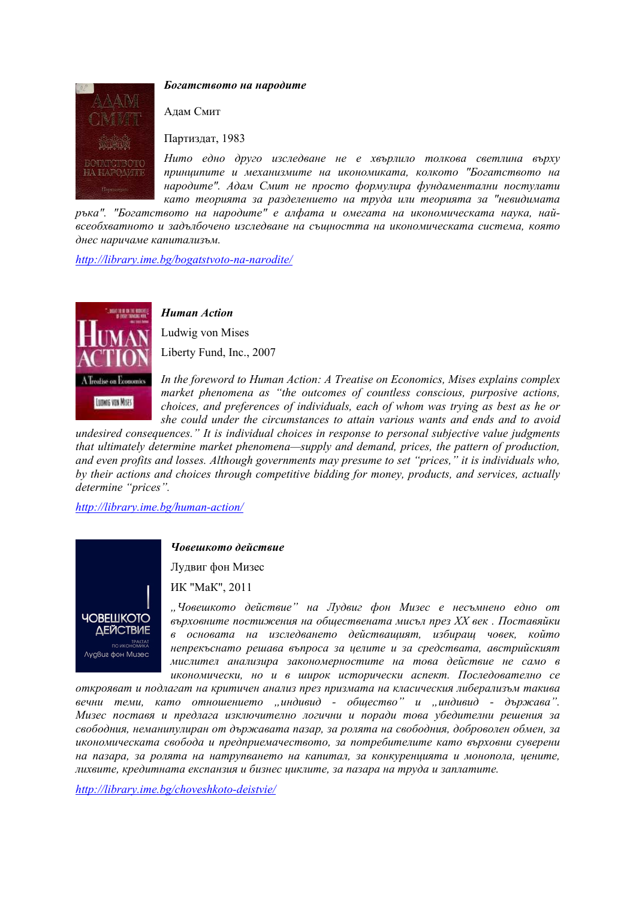

### *Богатството на народите*

Адам Смит

Партиздат, 1983

*Нито едно друго изследване не е хвърлило толкова светлина върху принципите и механизмите на икономиката, колкото "Богатството на народите". Адам Смит не просто формулира фундаментални постулати като теорията за разделението на труда или теорията за "невидимата*

*ръка". "Богатството на народите" е алфата и омегата на икономическата наука, найвсеобхватното и задълбочено изследване на същността на икономическата система, която днес наричаме капитализъм.* 

*http://library.ime.bg/bogatstvoto-na-narodite/*



*Human Action* 

Ludwig von Mises Liberty Fund, Inc., 2007

*In the foreword to Human Action: A Treatise on Economics, Mises explains complex market phenomena as "the outcomes of countless conscious, purposive actions, choices, and preferences of individuals, each of whom was trying as best as he or she could under the circumstances to attain various wants and ends and to avoid* 

*undesired consequences." It is individual choices in response to personal subjective value judgments that ultimately determine market phenomena—supply and demand, prices, the pattern of production, and even profits and losses. Although governments may presume to set "prices," it is individuals who, by their actions and choices through competitive bidding for money, products, and services, actually determine "prices".*

*http://library.ime.bg/human-action/*



### *Човешкото действие*

Лудвиг фон Мизес

ИК "МаК", 2011

*"Човешкото действие" на Лудвиг фон Мизес е несъмнено едно от върховните постижения на обществената мисъл през ХХ век . Поставяйки в основата на изследването действащият, избиращ човек, който непрекъснато решава въпроса за целите и за средствата, австрийският мислител анализира закономерностите на това действие не само в икономически, но и в широк исторически аспект. Последователно се*

*открояват и подлагат на критичен анализ през призмата на класическия либерализъм такива вечни теми, като отношението "индивид - общество" и "индивид - държава". Мизес поставя и предлага изключително логични и поради това убедителни решения за свободния, неманипулиран от държавата пазар, за ролята на свободния, доброволен обмен, за икономическата свобода и предприемачеството, за потребителите като върховни суверени на пазара, за ролята на натрупването на капитал, за конкуренцията и монопола, цените, лихвите, кредитната експанзия и бизнес циклите, за пазара на труда и заплатите.* 

*http://library.ime.bg/choveshkoto-deistvie/*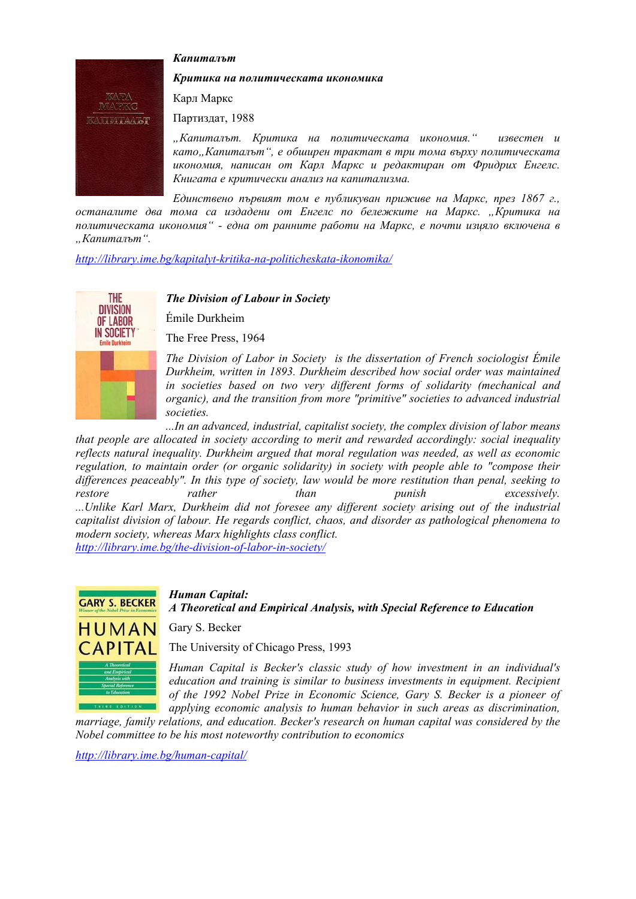### *Капиталът*



#### *Критика на политическата икономика*

Карл Маркс

Партиздат, 1988

*"Капиталът. Критика на политическата икономия." известен и като"Капиталът", е обширен трактат в три тома върху политическата икономия, написан от Карл Маркс и редактиран от Фридрих Енгелс. Книгата е критически анализ на капитализма.* 

*Единствено първият том е публикуван приживе на Маркс, през 1867 г., останалите два тома са издадени от Енгелс по бележките на Маркс. "Критика на политическата икономия" - една от ранните работи на Маркс, е почти изцяло включена в "Капиталът".* 

*http://library.ime.bg/kapitalyt-kritika-na-politicheskata-ikonomika/*



### *The Division of Labour in Society*

Émile Durkheim

The Free Press, 1964

*The Division of Labor in Society is the dissertation of French sociologist Émile Durkheim, written in 1893. Durkheim described how social order was maintained in societies based on two very different forms of solidarity (mechanical and organic), and the transition from more "primitive" societies to advanced industrial societies.* 

*...In an advanced, industrial, capitalist society, the complex division of labor means that people are allocated in society according to merit and rewarded accordingly: social inequality reflects natural inequality. Durkheim argued that moral regulation was needed, as well as economic regulation, to maintain order (or organic solidarity) in society with people able to "compose their differences peaceably". In this type of society, law would be more restitution than penal, seeking to restore rather than punish excessively. ...Unlike Karl Marx, Durkheim did not foresee any different society arising out of the industrial capitalist division of labour. He regards conflict, chaos, and disorder as pathological phenomena to modern society, whereas Marx highlights class conflict.* 

*http://library.ime.bg/the-division-of-labor-in-society/*



*Human Capital:*

*A Theoretical and Empirical Analysis, with Special Reference to Education* 

Gary S. Becker

The University of Chicago Press, 1993

*Human Capital is Becker's classic study of how investment in an individual's education and training is similar to business investments in equipment. Recipient of the 1992 Nobel Prize in Economic Science, Gary S. Becker is a pioneer of applying economic analysis to human behavior in such areas as discrimination,* 

*marriage, family relations, and education. Becker's research on human capital was considered by the Nobel committee to be his most noteworthy contribution to economics* 

*http://library.ime.bg/human-capital/*